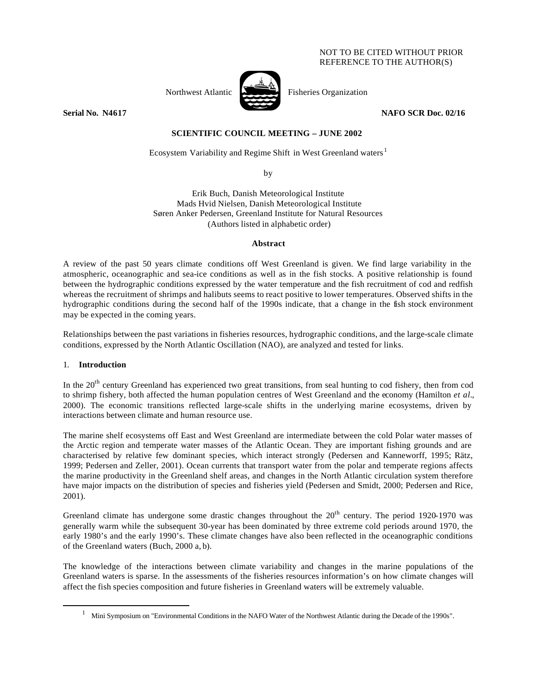### NOT TO BE CITED WITHOUT PRIOR REFERENCE TO THE AUTHOR(S)



Northwest Atlantic Fisheries Organization

**Serial No. N4617 NAFO SCR Doc. 02/16** 

# **SCIENTIFIC COUNCIL MEETING – JUNE 2002**

Ecosystem Variability and Regime Shift in West Greenland waters<sup>1</sup>

by

Erik Buch, Danish Meteorological Institute Mads Hvid Nielsen, Danish Meteorological Institute Søren Anker Pedersen, Greenland Institute for Natural Resources (Authors listed in alphabetic order)

### **Abstract**

A review of the past 50 years climate conditions off West Greenland is given. We find large variability in the atmospheric, oceanographic and sea-ice conditions as well as in the fish stocks. A positive relationship is found between the hydrographic conditions expressed by the water temperature and the fish recruitment of cod and redfish whereas the recruitment of shrimps and halibuts seems to react positive to lower temperatures. Observed shifts in the hydrographic conditions during the second half of the 1990s indicate, that a change in the fish stock environment may be expected in the coming years.

Relationships between the past variations in fisheries resources, hydrographic conditions, and the large-scale climate conditions, expressed by the North Atlantic Oscillation (NAO), are analyzed and tested for links.

# 1. **Introduction**

 $\overline{a}$ 

In the 20<sup>th</sup> century Greenland has experienced two great transitions, from seal hunting to cod fishery, then from cod to shrimp fishery, both affected the human population centres of West Greenland and the economy (Hamilton *et al.*, 2000). The economic transitions reflected large-scale shifts in the underlying marine ecosystems, driven by interactions between climate and human resource use.

The marine shelf ecosystems off East and West Greenland are intermediate between the cold Polar water masses of the Arctic region and temperate water masses of the Atlantic Ocean. They are important fishing grounds and are characterised by relative few dominant species, which interact strongly (Pedersen and Kanneworff, 1995; Rätz, 1999; Pedersen and Zeller, 2001). Ocean currents that transport water from the polar and temperate regions affects the marine productivity in the Greenland shelf areas, and changes in the North Atlantic circulation system therefore have major impacts on the distribution of species and fisheries yield (Pedersen and Smidt, 2000; Pedersen and Rice, 2001).

Greenland climate has undergone some drastic changes throughout the  $20<sup>th</sup>$  century. The period 1920-1970 was generally warm while the subsequent 30-year has been dominated by three extreme cold periods around 1970, the early 1980's and the early 1990's. These climate changes have also been reflected in the oceanographic conditions of the Greenland waters (Buch, 2000 a, b).

The knowledge of the interactions between climate variability and changes in the marine populations of the Greenland waters is sparse. In the assessments of the fisheries resources information's on how climate changes will affect the fish species composition and future fisheries in Greenland waters will be extremely valuable.

<sup>&</sup>lt;sup>1</sup> Mini Symposium on "Environmental Conditions in the NAFO Water of the Northwest Atlantic during the Decade of the 1990s".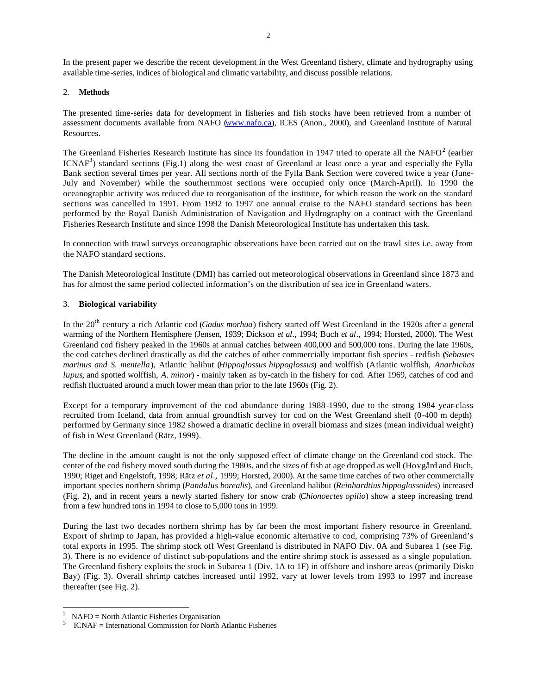In the present paper we describe the recent development in the West Greenland fishery, climate and hydrography using available time-series, indices of biological and climatic variability, and discuss possible relations.

### 2. **Methods**

The presented time-series data for development in fisheries and fish stocks have been retrieved from a number of assessment documents available from NAFO (www.nafo.ca), ICES (Anon., 2000), and Greenland Institute of Natural Resources.

The Greenland Fisheries Research Institute has since its foundation in 1947 tried to operate all the NAFO $2$  (earlier  $ICNAF<sup>3</sup>$ ) standard sections (Fig.1) along the west coast of Greenland at least once a year and especially the Fylla Bank section several times per year. All sections north of the Fylla Bank Section were covered twice a year (June-July and November) while the southernmost sections were occupied only once (March-April). In 1990 the oceanographic activity was reduced due to reorganisation of the institute, for which reason the work on the standard sections was cancelled in 1991. From 1992 to 1997 one annual cruise to the NAFO standard sections has been performed by the Royal Danish Administration of Navigation and Hydrography on a contract with the Greenland Fisheries Research Institute and since 1998 the Danish Meteorological Institute has undertaken this task.

In connection with trawl surveys oceanographic observations have been carried out on the trawl sites i.e. away from the NAFO standard sections.

The Danish Meteorological Institute (DMI) has carried out meteorological observations in Greenland since 1873 and has for almost the same period collected information's on the distribution of sea ice in Greenland waters.

# 3. **Biological variability**

In the 20th century a rich Atlantic cod (*Gadus morhua*) fishery started off West Greenland in the 1920s after a general warming of the Northern Hemisphere (Jensen, 1939; Dickson *et al*., 1994; Buch *et al*., 1994; Horsted, 2000). The West Greenland cod fishery peaked in the 1960s at annual catches between 400,000 and 500,000 tons. During the late 1960s, the cod catches declined drastically as did the catches of other commercially important fish species - redfish (*Sebastes marinus and S. mentella*), Atlantic halibut (*Hippoglossus hippoglossus*) and wolffish (Atlantic wolffish, *Anarhichas lupus*, and spotted wolffish, *A*. *minor*) - mainly taken as by-catch in the fishery for cod. After 1969, catches of cod and redfish fluctuated around a much lower mean than prior to the late 1960s (Fig. 2).

Except for a temporary improvement of the cod abundance during 1988-1990, due to the strong 1984 year-class recruited from Iceland, data from annual groundfish survey for cod on the West Greenland shelf (0-400 m depth) performed by Germany since 1982 showed a dramatic decline in overall biomass and sizes (mean individual weight) of fish in West Greenland (Rätz, 1999).

The decline in the amount caught is not the only supposed effect of climate change on the Greenland cod stock. The center of the cod fishery moved south during the 1980s, and the sizes of fish at age dropped as well (Hovgård and Buch, 1990; Riget and Engelstoft, 1998; Rätz *et al*., 1999; Horsted, 2000). At the same time catches of two other commercially important species northern shrimp (*Pandalus borealis*), and Greenland halibut (*Reinhardtius hippoglossoides*) increased (Fig. 2), and in recent years a newly started fishery for snow crab (*Chionoectes opilio*) show a steep increasing trend from a few hundred tons in 1994 to close to 5,000 tons in 1999.

During the last two decades northern shrimp has by far been the most important fishery resource in Greenland. Export of shrimp to Japan, has provided a high-value economic alternative to cod, comprising 73% of Greenland's total exports in 1995. The shrimp stock off West Greenland is distributed in NAFO Div. 0A and Subarea 1 (see Fig. 3). There is no evidence of distinct sub-populations and the entire shrimp stock is assessed as a single population. The Greenland fishery exploits the stock in Subarea 1 (Div. 1A to 1F) in offshore and inshore areas (primarily Disko Bay) (Fig. 3). Overall shrimp catches increased until 1992, vary at lower levels from 1993 to 1997 and increase thereafter (see Fig. 2).

 $\overline{a}$ 

<sup>2</sup> NAFO = North Atlantic Fisheries Organisation

<sup>3</sup> ICNAF = International Commission for North Atlantic Fisheries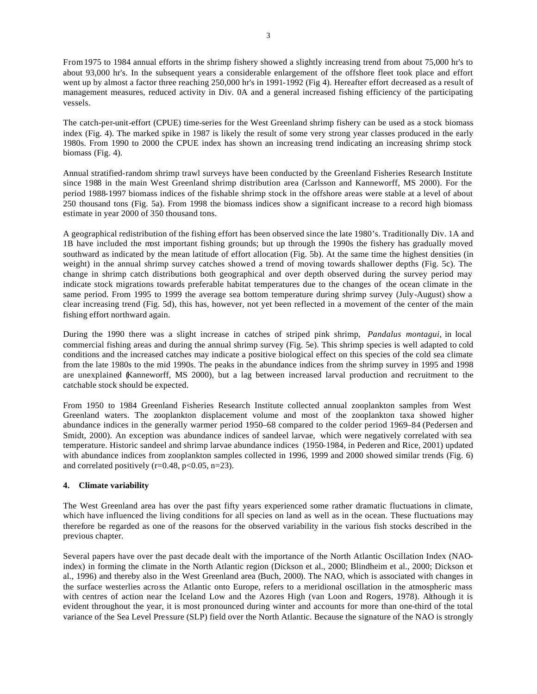From 1975 to 1984 annual efforts in the shrimp fishery showed a slightly increasing trend from about 75,000 hr's to about 93,000 hr's. In the subsequent years a considerable enlargement of the offshore fleet took place and effort went up by almost a factor three reaching 250,000 hr's in 1991-1992 (Fig 4). Hereafter effort decreased as a result of management measures, reduced activity in Div. 0A and a general increased fishing efficiency of the participating vessels.

The catch-per-unit-effort (CPUE) time-series for the West Greenland shrimp fishery can be used as a stock biomass index (Fig. 4). The marked spike in 1987 is likely the result of some very strong year classes produced in the early 1980s. From 1990 to 2000 the CPUE index has shown an increasing trend indicating an increasing shrimp stock biomass (Fig. 4).

Annual stratified-random shrimp trawl surveys have been conducted by the Greenland Fisheries Research Institute since 1988 in the main West Greenland shrimp distribution area (Carlsson and Kanneworff, MS 2000). For the period 1988-1997 biomass indices of the fishable shrimp stock in the offshore areas were stable at a level of about 250 thousand tons (Fig. 5a). From 1998 the biomass indices show a significant increase to a record high biomass estimate in year 2000 of 350 thousand tons.

A geographical redistribution of the fishing effort has been observed since the late 1980's. Traditionally Div. 1A and 1B have included the most important fishing grounds; but up through the 1990s the fishery has gradually moved southward as indicated by the mean latitude of effort allocation (Fig. 5b). At the same time the highest densities (in weight) in the annual shrimp survey catches showed a trend of moving towards shallower depths (Fig. 5c). The change in shrimp catch distributions both geographical and over depth observed during the survey period may indicate stock migrations towards preferable habitat temperatures due to the changes of the ocean climate in the same period. From 1995 to 1999 the average sea bottom temperature during shrimp survey (July-August) show a clear increasing trend (Fig. 5d), this has, however, not yet been reflected in a movement of the center of the main fishing effort northward again.

During the 1990 there was a slight increase in catches of striped pink shrimp, *Pandalus montagui,* in local commercial fishing areas and during the annual shrimp survey (Fig. 5e). This shrimp species is well adapted to cold conditions and the increased catches may indicate a positive biological effect on this species of the cold sea climate from the late 1980s to the mid 1990s. The peaks in the abundance indices from the shrimp survey in 1995 and 1998 are unexplained (Kanneworff, MS 2000), but a lag between increased larval production and recruitment to the catchable stock should be expected.

From 1950 to 1984 Greenland Fisheries Research Institute collected annual zooplankton samples from West Greenland waters. The zooplankton displacement volume and most of the zooplankton taxa showed higher abundance indices in the generally warmer period 1950–68 compared to the colder period 1969–84 (Pedersen and Smidt, 2000). An exception was abundance indices of sandeel larvae, which were negatively correlated with sea temperature. Historic sandeel and shrimp larvae abundance indices (1950-1984, in Pederen and Rice, 2001) updated with abundance indices from zooplankton samples collected in 1996, 1999 and 2000 showed similar trends (Fig. 6) and correlated positively  $(r=0.48, p<0.05, n=23)$ .

# **4. Climate variability**

The West Greenland area has over the past fifty years experienced some rather dramatic fluctuations in climate, which have influenced the living conditions for all species on land as well as in the ocean. These fluctuations may therefore be regarded as one of the reasons for the observed variability in the various fish stocks described in the previous chapter.

Several papers have over the past decade dealt with the importance of the North Atlantic Oscillation Index (NAOindex) in forming the climate in the North Atlantic region (Dickson et al., 2000; Blindheim et al., 2000; Dickson et al., 1996) and thereby also in the West Greenland area (Buch, 2000). The NAO, which is associated with changes in the surface westerlies across the Atlantic onto Europe, refers to a meridional oscillation in the atmospheric mass with centres of action near the Iceland Low and the Azores High (van Loon and Rogers, 1978). Although it is evident throughout the year, it is most pronounced during winter and accounts for more than one-third of the total variance of the Sea Level Pressure (SLP) field over the North Atlantic. Because the signature of the NAO is strongly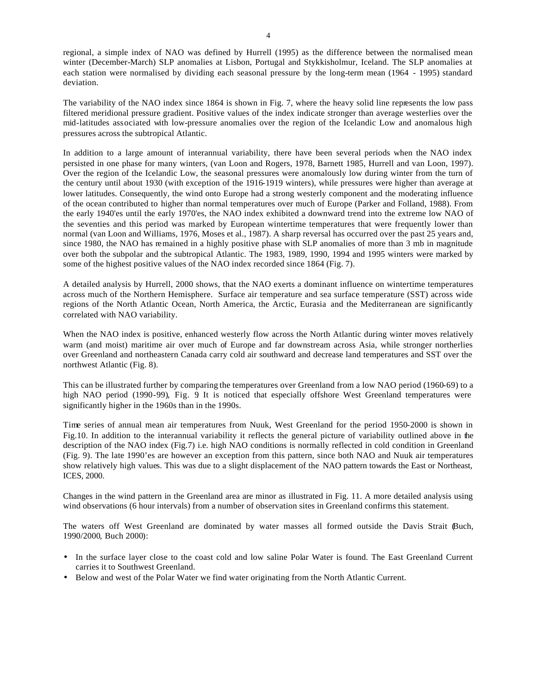regional, a simple index of NAO was defined by Hurrell (1995) as the difference between the normalised mean winter (December-March) SLP anomalies at Lisbon, Portugal and Stykkisholmur, Iceland. The SLP anomalies at each station were normalised by dividing each seasonal pressure by the long-term mean (1964 - 1995) standard deviation.

The variability of the NAO index since 1864 is shown in Fig. 7, where the heavy solid line represents the low pass filtered meridional pressure gradient. Positive values of the index indicate stronger than average westerlies over the mid-latitudes associated with low-pressure anomalies over the region of the Icelandic Low and anomalous high pressures across the subtropical Atlantic.

In addition to a large amount of interannual variability, there have been several periods when the NAO index persisted in one phase for many winters, (van Loon and Rogers, 1978, Barnett 1985, Hurrell and van Loon, 1997). Over the region of the Icelandic Low, the seasonal pressures were anomalously low during winter from the turn of the century until about 1930 (with exception of the 1916-1919 winters), while pressures were higher than average at lower latitudes. Consequently, the wind onto Europe had a strong westerly component and the moderating influence of the ocean contributed to higher than normal temperatures over much of Europe (Parker and Folland, 1988). From the early 1940'es until the early 1970'es, the NAO index exhibited a downward trend into the extreme low NAO of the seventies and this period was marked by European wintertime temperatures that were frequently lower than normal (van Loon and Williams, 1976, Moses et al., 1987). A sharp reversal has occurred over the past 25 years and, since 1980, the NAO has remained in a highly positive phase with SLP anomalies of more than 3 mb in magnitude over both the subpolar and the subtropical Atlantic. The 1983, 1989, 1990, 1994 and 1995 winters were marked by some of the highest positive values of the NAO index recorded since 1864 (Fig. 7).

A detailed analysis by Hurrell, 2000 shows, that the NAO exerts a dominant influence on wintertime temperatures across much of the Northern Hemisphere. Surface air temperature and sea surface temperature (SST) across wide regions of the North Atlantic Ocean, North America, the Arctic, Eurasia and the Mediterranean are significantly correlated with NAO variability.

When the NAO index is positive, enhanced westerly flow across the North Atlantic during winter moves relatively warm (and moist) maritime air over much of Europe and far downstream across Asia, while stronger northerlies over Greenland and northeastern Canada carry cold air southward and decrease land temperatures and SST over the northwest Atlantic (Fig. 8).

This can be illustrated further by comparing the temperatures over Greenland from a low NAO period (1960-69) to a high NAO period (1990-99), Fig. 9 It is noticed that especially offshore West Greenland temperatures were significantly higher in the 1960s than in the 1990s.

Time series of annual mean air temperatures from Nuuk, West Greenland for the period 1950-2000 is shown in Fig.10. In addition to the interannual variability it reflects the general picture of variability outlined above in the description of the NAO index (Fig.7) i.e. high NAO conditions is normally reflected in cold condition in Greenland (Fig. 9). The late 1990'es are however an exception from this pattern, since both NAO and Nuuk air temperatures show relatively high values. This was due to a slight displacement of the NAO pattern towards the East or Northeast, ICES, 2000.

Changes in the wind pattern in the Greenland area are minor as illustrated in Fig. 11. A more detailed analysis using wind observations (6 hour intervals) from a number of observation sites in Greenland confirms this statement.

The waters off West Greenland are dominated by water masses all formed outside the Davis Strait (Buch, 1990/2000, Buch 2000):

- In the surface layer close to the coast cold and low saline Polar Water is found. The East Greenland Current carries it to Southwest Greenland.
- Below and west of the Polar Water we find water originating from the North Atlantic Current.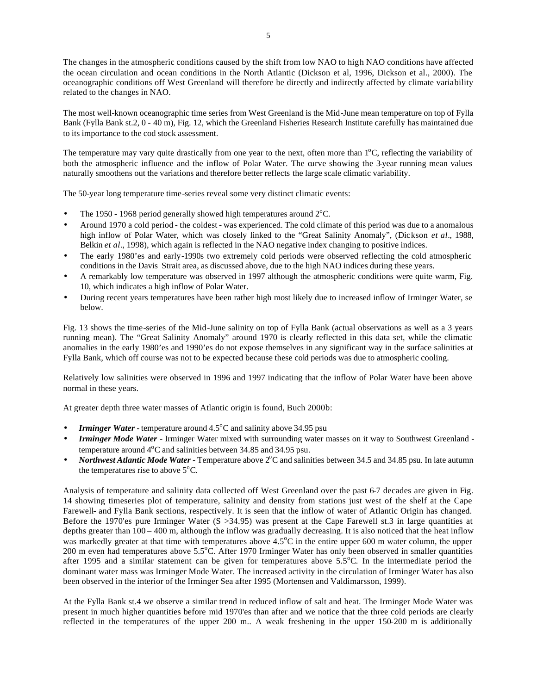The changes in the atmospheric conditions caused by the shift from low NAO to high NAO conditions have affected the ocean circulation and ocean conditions in the North Atlantic (Dickson et al, 1996, Dickson et al., 2000). The oceanographic conditions off West Greenland will therefore be directly and indirectly affected by climate variability related to the changes in NAO.

The most well-known oceanographic time series from West Greenland is the Mid-June mean temperature on top of Fylla Bank (Fylla Bank st.2, 0 - 40 m), Fig. 12, which the Greenland Fisheries Research Institute carefully has maintained due to its importance to the cod stock assessment.

The temperature may vary quite drastically from one year to the next, often more than  $1^{\circ}$ C, reflecting the variability of both the atmospheric influence and the inflow of Polar Water. The curve showing the 3-year running mean values naturally smoothens out the variations and therefore better reflects the large scale climatic variability.

The 50-year long temperature time-series reveal some very distinct climatic events:

- The 1950 1968 period generally showed high temperatures around  $2^{\circ}$ C.
- Around 1970 a cold period the coldest was experienced. The cold climate of this period was due to a anomalous high inflow of Polar Water, which was closely linked to the "Great Salinity Anomaly", (Dickson *et al*., 1988, Belkin *et al*., 1998), which again is reflected in the NAO negative index changing to positive indices.
- The early 1980'es and early-1990s two extremely cold periods were observed reflecting the cold atmospheric conditions in the Davis Strait area, as discussed above, due to the high NAO indices during these years.
- A remarkably low temperature was observed in 1997 although the atmospheric conditions were quite warm, Fig. 10, which indicates a high inflow of Polar Water.
- During recent years temperatures have been rather high most likely due to increased inflow of Irminger Water, se below.

Fig. 13 shows the time-series of the Mid-June salinity on top of Fylla Bank (actual observations as well as a 3 years running mean). The "Great Salinity Anomaly" around 1970 is clearly reflected in this data set, while the climatic anomalies in the early 1980'es and 1990'es do not expose themselves in any significant way in the surface salinities at Fylla Bank, which off course was not to be expected because these cold periods was due to atmospheric cooling.

Relatively low salinities were observed in 1996 and 1997 indicating that the inflow of Polar Water have been above normal in these years.

At greater depth three water masses of Atlantic origin is found, Buch 2000b:

- **Irminger Water** temperature around 4.5<sup>o</sup>C and salinity above 34.95 psu
- *Irminger Mode Water* Irminger Water mixed with surrounding water masses on it way to Southwest Greenland temperature around  $4^{\circ}$ C and salinities between 34.85 and 34.95 psu.
- *Northwest Atlantic Mode Water* Temperature above 2<sup>o</sup>C and salinities between 34.5 and 34.85 psu. In late autumn the temperatures rise to above  $5^{\circ}$ C.

Analysis of temperature and salinity data collected off West Greenland over the past 6-7 decades are given in Fig. 14 showing timeseries plot of temperature, salinity and density from stations just west of the shelf at the Cape Farewell- and Fylla Bank sections, respectively. It is seen that the inflow of water of Atlantic Origin has changed. Before the 1970'es pure Irminger Water (S >34.95) was present at the Cape Farewell st.3 in large quantities at depths greater than  $100 - 400$  m, although the inflow was gradually decreasing. It is also noticed that the heat inflow was markedly greater at that time with temperatures above  $4.5^{\circ}$ C in the entire upper 600 m water column, the upper 200 m even had temperatures above 5.5°C. After 1970 Irminger Water has only been observed in smaller quantities after 1995 and a similar statement can be given for temperatures above 5.5<sup>o</sup>C. In the intermediate period the dominant water mass was Irminger Mode Water. The increased activity in the circulation of Irminger Water has also been observed in the interior of the Irminger Sea after 1995 (Mortensen and Valdimarsson, 1999).

At the Fylla Bank st.4 we observe a similar trend in reduced inflow of salt and heat. The Irminger Mode Water was present in much higher quantities before mid 1970'es than after and we notice that the three cold periods are clearly reflected in the temperatures of the upper 200 m.. A weak freshening in the upper 150-200 m is additionally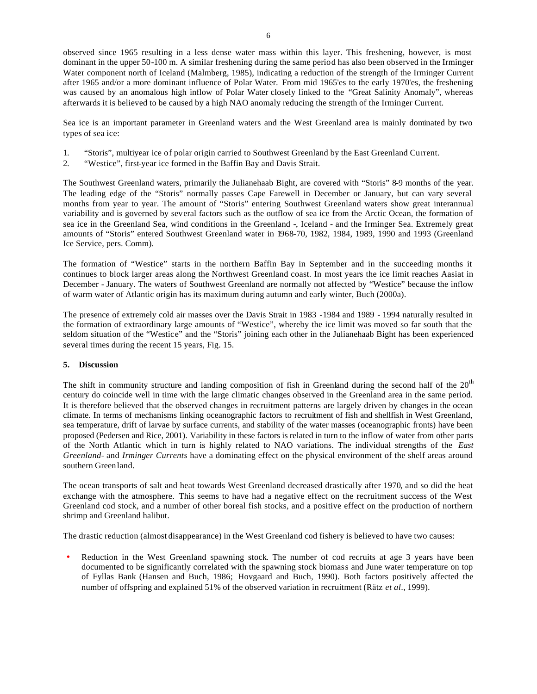observed since 1965 resulting in a less dense water mass within this layer. This freshening, however, is most dominant in the upper 50-100 m. A similar freshening during the same period has also been observed in the Irminger Water component north of Iceland (Malmberg, 1985), indicating a reduction of the strength of the Irminger Current after 1965 and/or a more dominant influence of Polar Water. From mid 1965'es to the early 1970'es, the freshening was caused by an anomalous high inflow of Polar Water closely linked to the "Great Salinity Anomaly", whereas afterwards it is believed to be caused by a high NAO anomaly reducing the strength of the Irminger Current.

Sea ice is an important parameter in Greenland waters and the West Greenland area is mainly dominated by two types of sea ice:

- 1. "Storis", multiyear ice of polar origin carried to Southwest Greenland by the East Greenland Current.
- 2. "Westice", first-year ice formed in the Baffin Bay and Davis Strait.

The Southwest Greenland waters, primarily the Julianehaab Bight, are covered with "Storis" 8-9 months of the year. The leading edge of the "Storis" normally passes Cape Farewell in December or January, but can vary several months from year to year. The amount of "Storis" entering Southwest Greenland waters show great interannual variability and is governed by several factors such as the outflow of sea ice from the Arctic Ocean, the formation of sea ice in the Greenland Sea, wind conditions in the Greenland -, Iceland - and the Irminger Sea. Extremely great amounts of "Storis" entered Southwest Greenland water in 1968-70, 1982, 1984, 1989, 1990 and 1993 (Greenland Ice Service, pers. Comm).

The formation of "Westice" starts in the northern Baffin Bay in September and in the succeeding months it continues to block larger areas along the Northwest Greenland coast. In most years the ice limit reaches Aasiat in December - January. The waters of Southwest Greenland are normally not affected by "Westice" because the inflow of warm water of Atlantic origin has its maximum during autumn and early winter, Buch (2000a).

The presence of extremely cold air masses over the Davis Strait in 1983 -1984 and 1989 - 1994 naturally resulted in the formation of extraordinary large amounts of "Westice", whereby the ice limit was moved so far south that the seldom situation of the "Westice" and the "Storis" joining each other in the Julianehaab Bight has been experienced several times during the recent 15 years, Fig. 15.

### **5. Discussion**

The shift in community structure and landing composition of fish in Greenland during the second half of the  $20<sup>th</sup>$ century do coincide well in time with the large climatic changes observed in the Greenland area in the same period. It is therefore believed that the observed changes in recruitment patterns are largely driven by changes in the ocean climate. In terms of mechanisms linking oceanographic factors to recruitment of fish and shellfish in West Greenland, sea temperature, drift of larvae by surface currents, and stability of the water masses (oceanographic fronts) have been proposed (Pedersen and Rice, 2001). Variability in these factors is related in turn to the inflow of water from other parts of the North Atlantic which in turn is highly related to NAO variations. The individual strengths of the *East Greenland-* and *Irminger Currents* have a dominating effect on the physical environment of the shelf areas around southern Greenland.

The ocean transports of salt and heat towards West Greenland decreased drastically after 1970, and so did the heat exchange with the atmosphere. This seems to have had a negative effect on the recruitment success of the West Greenland cod stock, and a number of other boreal fish stocks, and a positive effect on the production of northern shrimp and Greenland halibut.

The drastic reduction (almost disappearance) in the West Greenland cod fishery is believed to have two causes:

Reduction in the West Greenland spawning stock. The number of cod recruits at age 3 years have been documented to be significantly correlated with the spawning stock biomass and June water temperature on top of Fyllas Bank (Hansen and Buch, 1986; Hovgaard and Buch, 1990). Both factors positively affected the number of offspring and explained 51% of the observed variation in recruitment (Rätz *et al*., 1999).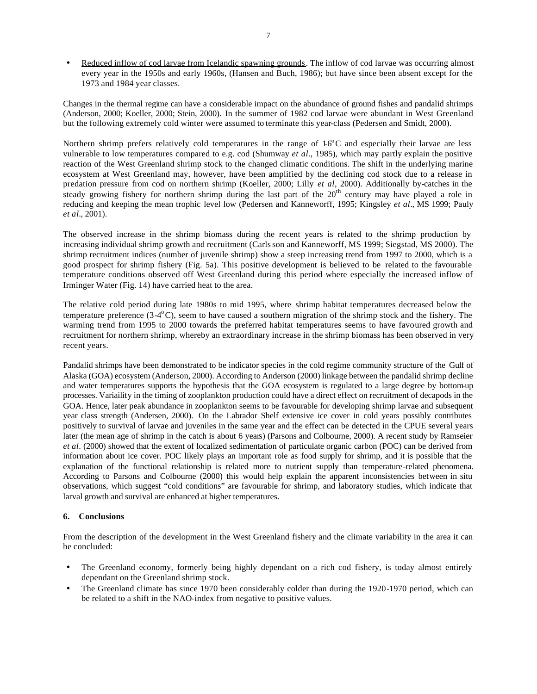Reduced inflow of cod larvae from Icelandic spawning grounds. The inflow of cod larvae was occurring almost every year in the 1950s and early 1960s, (Hansen and Buch, 1986); but have since been absent except for the 1973 and 1984 year classes.

Changes in the thermal regime can have a considerable impact on the abundance of ground fishes and pandalid shrimps (Anderson, 2000; Koeller, 2000; Stein, 2000). In the summer of 1982 cod larvae were abundant in West Greenland but the following extremely cold winter were assumed to terminate this year-class (Pedersen and Smidt, 2000).

Northern shrimp prefers relatively cold temperatures in the range of  $16^{\circ}$ C and especially their larvae are less vulnerable to low temperatures compared to e.g. cod (Shumway *et al*., 1985), which may partly explain the positive reaction of the West Greenland shrimp stock to the changed climatic conditions. The shift in the underlying marine ecosystem at West Greenland may, however, have been amplified by the declining cod stock due to a release in predation pressure from cod on northern shrimp (Koeller, 2000; Lilly *et al*, 2000). Additionally by-catches in the steady growing fishery for northern shrimp during the last part of the 20<sup>th</sup> century may have played a role in reducing and keeping the mean trophic level low (Pedersen and Kanneworff, 1995; Kingsley *et al*., MS 1999; Pauly *et al.*, 2001).

The observed increase in the shrimp biomass during the recent years is related to the shrimp production by increasing individual shrimp growth and recruitment (Carlsson and Kanneworff, MS 1999; Siegstad, MS 2000). The shrimp recruitment indices (number of juvenile shrimp) show a steep increasing trend from 1997 to 2000, which is a good prospect for shrimp fishery (Fig. 5a). This positive development is believed to be related to the favourable temperature conditions observed off West Greenland during this period where especially the increased inflow of Irminger Water (Fig. 14) have carried heat to the area.

The relative cold period during late 1980s to mid 1995, where shrimp habitat temperatures decreased below the temperature preference  $(3-4^{\circ}C)$ , seem to have caused a southern migration of the shrimp stock and the fishery. The warming trend from 1995 to 2000 towards the preferred habitat temperatures seems to have favoured growth and recruitment for northern shrimp, whereby an extraordinary increase in the shrimp biomass has been observed in very recent years.

Pandalid shrimps have been demonstrated to be indicator species in the cold regime community structure of the Gulf of Alaska (GOA) ecosystem (Anderson, 2000). According to Anderson (2000) linkage between the pandalid shrimp decline and water temperatures supports the hypothesis that the GOA ecosystem is regulated to a large degree by bottom-up processes. Variaility in the timing of zooplankton production could have a direct effect on recruitment of decapods in the GOA. Hence, later peak abundance in zooplankton seems to be favourable for developing shrimp larvae and subsequent year class strength (Andersen, 2000). On the Labrador Shelf extensive ice cover in cold years possibly contributes positively to survival of larvae and juveniles in the same year and the effect can be detected in the CPUE several years later (the mean age of shrimp in the catch is about 6 years) (Parsons and Colbourne, 2000). A recent study by Ramseier *et al*. (2000) showed that the extent of localized sedimentation of particulate organic carbon (POC) can be derived from information about ice cover. POC likely plays an important role as food supply for shrimp, and it is possible that the explanation of the functional relationship is related more to nutrient supply than temperature-related phenomena. According to Parsons and Colbourne (2000) this would help explain the apparent inconsistencies between in situ observations, which suggest "cold conditions" are favourable for shrimp, and laboratory studies, which indicate that larval growth and survival are enhanced at higher temperatures.

### **6. Conclusions**

From the description of the development in the West Greenland fishery and the climate variability in the area it can be concluded:

- The Greenland economy, formerly being highly dependant on a rich cod fishery, is today almost entirely dependant on the Greenland shrimp stock.
- The Greenland climate has since 1970 been considerably colder than during the 1920-1970 period, which can be related to a shift in the NAO-index from negative to positive values.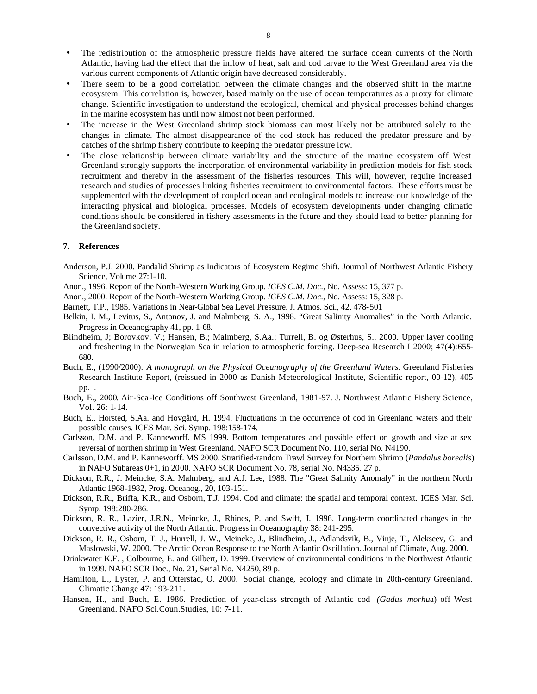- The redistribution of the atmospheric pressure fields have altered the surface ocean currents of the North Atlantic, having had the effect that the inflow of heat, salt and cod larvae to the West Greenland area via the various current components of Atlantic origin have decreased considerably.
- There seem to be a good correlation between the climate changes and the observed shift in the marine ecosystem. This correlation is, however, based mainly on the use of ocean temperatures as a proxy for climate change. Scientific investigation to understand the ecological, chemical and physical processes behind changes in the marine ecosystem has until now almost not been performed.
- The increase in the West Greenland shrimp stock biomass can most likely not be attributed solely to the changes in climate. The almost disappearance of the cod stock has reduced the predator pressure and bycatches of the shrimp fishery contribute to keeping the predator pressure low.
- The close relationship between climate variability and the structure of the marine ecosystem off West Greenland strongly supports the incorporation of environmental variability in prediction models for fish stock recruitment and thereby in the assessment of the fisheries resources. This will, however, require increased research and studies of processes linking fisheries recruitment to environmental factors. These efforts must be supplemented with the development of coupled ocean and ecological models to increase our knowledge of the interacting physical and biological processes. Models of ecosystem developments under changing climatic conditions should be considered in fishery assessments in the future and they should lead to better planning for the Greenland society.

#### **7. References**

- Anderson, P.J. 2000. Pandalid Shrimp as Indicators of Ecosystem Regime Shift. Journal of Northwest Atlantic Fishery Science, Volume 27:1-10.
- Anon., 1996. Report of the North-Western Working Group. *ICES C.M. Doc.,* No. Assess: 15, 377 p.
- Anon., 2000. Report of the North-Western Working Group. *ICES C.M. Doc.,* No. Assess: 15, 328 p.
- Barnett, T.P., 1985. Variations in Near-Global Sea Level Pressure. J. Atmos. Sci., 42, 478-501
- Belkin, I. M., Levitus, S., Antonov, J. and Malmberg, S. A., 1998. "Great Salinity Anomalies" in the North Atlantic. Progress in Oceanography 41, pp. 1-68.
- Blindheim, J; Borovkov, V.; Hansen, B.; Malmberg, S.Aa.; Turrell, B. og Østerhus, S., 2000. Upper layer cooling and freshening in the Norwegian Sea in relation to atmospheric forcing. Deep-sea Research I 2000; 47(4):655- 680.
- Buch, E., (1990/2000). *A monograph on the Physical Oceanography of the Greenland Waters*. Greenland Fisheries Research Institute Report, (reissued in 2000 as Danish Meteorological Institute, Scientific report, 00-12), 405 pp. .
- Buch, E., 2000. Air-Sea-Ice Conditions off Southwest Greenland, 1981-97. J. Northwest Atlantic Fishery Science, Vol. 26: 1-14.
- Buch, E., Horsted, S.Aa. and Hovgård, H. 1994. Fluctuations in the occurrence of cod in Greenland waters and their possible causes. ICES Mar. Sci. Symp. 198:158-174.
- Carlsson, D.M. and P. Kanneworff. MS 1999. Bottom temperatures and possible effect on growth and size at sex reversal of northen shrimp in West Greenland. NAFO SCR Document No. 110, serial No. N4190.
- Carlsson, D.M. and P. Kanneworff. MS 2000. Stratified-random Trawl Survey for Northern Shrimp (*Pandalus borealis*) in NAFO Subareas 0+1, in 2000. NAFO SCR Document No. 78, serial No. N4335. 27 p.
- Dickson, R.R., J. Meincke, S.A. Malmberg, and A.J. Lee, 1988. The "Great Salinity Anomaly" in the northern North Atlantic 1968-1982, Prog. Oceanog., 20, 103-151.
- Dickson, R.R., Briffa, K.R., and Osborn, T.J. 1994. Cod and climate: the spatial and temporal context. ICES Mar. Sci. Symp. 198:280-286.
- Dickson, R. R., Lazier, J.R.N., Meincke, J., Rhines, P. and Swift, J. 1996. Long-term coordinated changes in the convective activity of the North Atlantic. Progress in Oceanography 38: 241-295.
- Dickson, R. R., Osborn, T. J., Hurrell, J. W., Meincke, J., Blindheim, J., Adlandsvik, B., Vinje, T., Alekseev, G. and Maslowski, W. 2000. The Arctic Ocean Response to the North Atlantic Oscillation. Journal of Climate, Aug. 2000.
- Drinkwater K.F. , Colbourne, E. and Gilbert, D. 1999. Overview of environmental conditions in the Northwest Atlantic in 1999. NAFO SCR Doc., No. 21, Serial No. N4250, 89 p.
- Hamilton, L., Lyster, P. and Otterstad, O. 2000. Social change, ecology and climate in 20th-century Greenland. Climatic Change 47: 193-211.
- Hansen, H., and Buch, E. 1986. Prediction of year-class strength of Atlantic cod *(Gadus morhu*a) off West Greenland. NAFO Sci.Coun.Studies, 10: 7-11.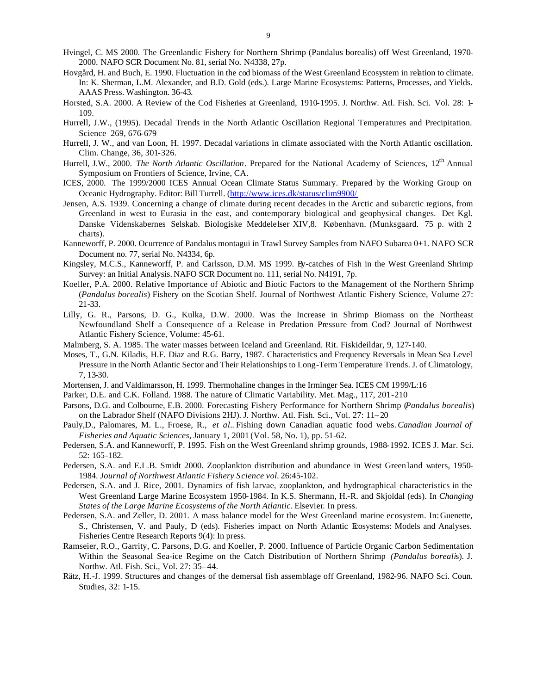- Hvingel, C. MS 2000. The Greenlandic Fishery for Northern Shrimp (Pandalus borealis) off West Greenland, 1970- 2000. NAFO SCR Document No. 81, serial No. N4338, 27p.
- Hovgård, H. and Buch, E. 1990. Fluctuation in the cod biomass of the West Greenland Ecosystem in relation to climate. In: K. Sherman, L.M. Alexander, and B.D. Gold (eds.). Large Marine Ecosystems: Patterns, Processes, and Yields. AAAS Press. Washington. 36-43.
- Horsted, S.A. 2000. A Review of the Cod Fisheries at Greenland, 1910-1995. J. Northw. Atl. Fish. Sci. Vol. 28: 1- 109.
- Hurrell, J.W., (1995). Decadal Trends in the North Atlantic Oscillation Regional Temperatures and Precipitation. Science 269, 676-679
- Hurrell, J. W., and van Loon, H. 1997. Decadal variations in climate associated with the North Atlantic oscillation. Clim. Change, 36, 301-326.
- Hurrell, J.W., 2000. *The North Atlantic Oscillation*. Prepared for the National Academy of Sciences, 12<sup>th</sup> Annual Symposium on Frontiers of Science, Irvine, CA.
- ICES, 2000. The 1999/2000 ICES Annual Ocean Climate Status Summary. Prepared by the Working Group on Oceanic Hydrography. Editor: Bill Turrell. (http://www.ices.dk/status/clim9900/
- Jensen, A.S. 1939. Concerning a change of climate during recent decades in the Arctic and subarctic regions, from Greenland in west to Eurasia in the east, and contemporary biological and geophysical changes. Det Kgl. Danske Videnskabernes Selskab. Biologiske Meddelelser XIV,8. København. (Munksgaard. 75 p. with 2 charts).
- Kanneworff, P. 2000. Ocurrence of Pandalus montagui in Trawl Survey Samples from NAFO Subarea 0+1. NAFO SCR Document no. 77, serial No. N4334, 6p.
- Kingsley, M.C.S., Kanneworff, P. and Carlsson, D.M. MS 1999. By-catches of Fish in the West Greenland Shrimp Survey: an Initial Analysis. NAFO SCR Document no. 111, serial No. N4191, 7p.
- Koeller, P.A. 2000. Relative Importance of Abiotic and Biotic Factors to the Management of the Northern Shrimp (*Pandalus borealis*) Fishery on the Scotian Shelf. Journal of Northwest Atlantic Fishery Science, Volume 27: 21-33.
- Lilly, G. R., Parsons, D. G., Kulka, D.W. 2000. Was the Increase in Shrimp Biomass on the Northeast Newfoundland Shelf a Consequence of a Release in Predation Pressure from Cod? Journal of Northwest Atlantic Fishery Science, Volume: 45-61.
- Malmberg, S. A. 1985. The water masses between Iceland and Greenland. Rit. Fiskideildar, 9, 127-140.
- Moses, T., G.N. Kiladis, H.F. Diaz and R.G. Barry, 1987. Characteristics and Frequency Reversals in Mean Sea Level Pressure in the North Atlantic Sector and Their Relationships to Long-Term Temperature Trends. J. of Climatology, 7, 13-30.
- Mortensen, J. and Valdimarsson, H. 1999. Thermohaline changes in the Irminger Sea. ICES CM 1999/L:16
- Parker, D.E. and C.K. Folland. 1988. The nature of Climatic Variability. Met. Mag., 117, 201-210
- Parsons, D.G. and Colbourne, E.B. 2000. Forecasting Fishery Performance for Northern Shrimp (*Pandalus borealis*) on the Labrador Shelf (NAFO Divisions 2HJ). J. Northw. Atl. Fish. Sci., Vol. 27: 11–20
- Pauly,D., Palomares, M. L., Froese, R., *et al.*. Fishing down Canadian aquatic food webs.*Canadian Journal of Fisheries and Aquatic Sciences*, January 1, 2001 (Vol. 58, No. 1), pp. 51-62.
- Pedersen, S.A. and Kanneworff, P. 1995. Fish on the West Greenland shrimp grounds, 1988-1992. ICES J. Mar. Sci. 52: 165-182.
- Pedersen, S.A. and E.L.B. Smidt 2000. Zooplankton distribution and abundance in West Greenland waters, 1950- 1984. *Journal of Northwest Atlantic Fishery Science vol.* 26:45-102.
- Pedersen, S.A. and J. Rice, 2001. Dynamics of fish larvae, zooplankton, and hydrographical characteristics in the West Greenland Large Marine Ecosystem 1950-1984. In K.S. Shermann, H.-R. and Skjoldal (eds). In *Changing States of the Large Marine Ecosystems of the North Atlantic*. Elsevier. In press.
- Pedersen, S.A. and Zeller, D. 2001. A mass balance model for the West Greenland marine ecosystem. In: Guenette, S., Christensen, V. and Pauly, D (eds). Fisheries impact on North Atlantic Ecosystems: Models and Analyses. Fisheries Centre Research Reports 9(4): In press.
- Ramseier, R.O., Garrity, C. Parsons, D.G. and Koeller, P. 2000. Influence of Particle Organic Carbon Sedimentation Within the Seasonal Sea-ice Regime on the Catch Distribution of Northern Shrimp *(Pandalus boreali*s). J. Northw. Atl. Fish. Sci., Vol. 27: 35–44.
- Rätz, H.-J. 1999. Structures and changes of the demersal fish assemblage off Greenland, 1982-96. NAFO Sci. Coun. Studies, 32: 1-15.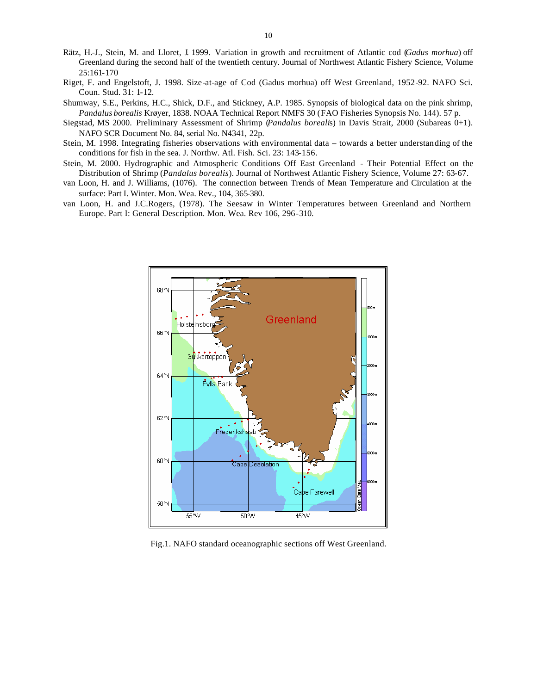- Rätz, H.-J., Stein, M. and Lloret, J. 1999. Variation in growth and recruitment of Atlantic cod (*Gadus morhua*) off Greenland during the second half of the twentieth century. Journal of Northwest Atlantic Fishery Science, Volume 25:161-170
- Riget, F. and Engelstoft, J. 1998. Size-at-age of Cod (Gadus morhua) off West Greenland, 1952-92. NAFO Sci. Coun. Stud. 31: 1-12.
- Shumway, S.E., Perkins, H.C., Shick, D.F., and Stickney, A.P. 1985. Synopsis of biological data on the pink shrimp, *Pandalus borealis* Krøyer, 1838. NOAA Technical Report NMFS 30 (FAO Fisheries Synopsis No. 144). 57 p.
- Siegstad, MS 2000. Preliminary Assessment of Shrimp (*Pandalus boreali*s) in Davis Strait, 2000 (Subareas 0+1). NAFO SCR Document No. 84, serial No. N4341, 22p.
- Stein, M. 1998. Integrating fisheries observations with environmental data towards a better understanding of the conditions for fish in the sea. J. Northw. Atl. Fish. Sci. 23: 143-156.
- Stein, M. 2000. Hydrographic and Atmospheric Conditions Off East Greenland Their Potential Effect on the Distribution of Shrimp (*Pandalus borealis*). Journal of Northwest Atlantic Fishery Science, Volume 27: 63-67.
- van Loon, H. and J. Williams, (1076). The connection between Trends of Mean Temperature and Circulation at the surface: Part I. Winter. Mon. Wea. Rev., 104, 365-380.
- van Loon, H. and J.C.Rogers, (1978). The Seesaw in Winter Temperatures between Greenland and Northern Europe. Part I: General Description. Mon. Wea. Rev 106, 296-310.



Fig.1. NAFO standard oceanographic sections off West Greenland.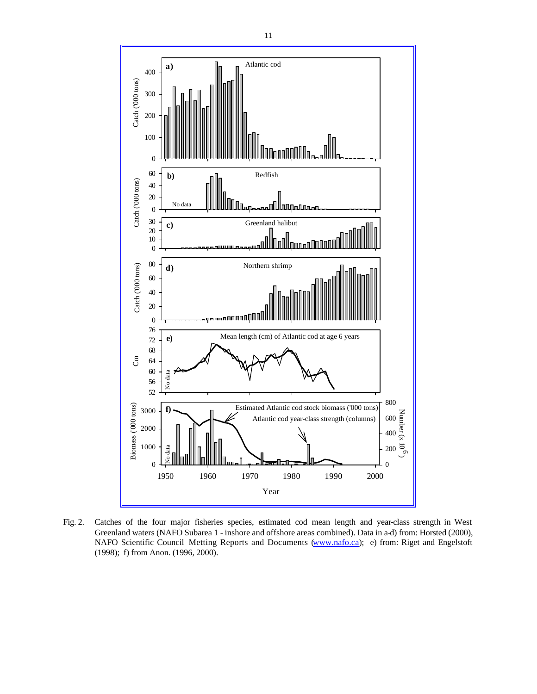

Fig. 2. Catches of the four major fisheries species, estimated cod mean length and year-class strength in West Greenland waters (NAFO Subarea 1 - inshore and offshore areas combined). Data in a-d) from: Horsted (2000), NAFO Scientific Council Metting Reports and Documents (www.nafo.ca); e) from: Riget and Engelstoft (1998); f) from Anon. (1996, 2000).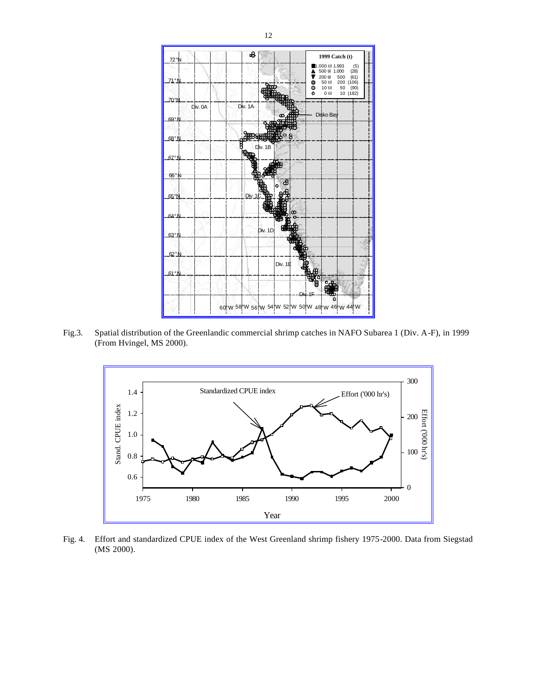

Fig.3. Spatial distribution of the Greenlandic commercial shrimp catches in NAFO Subarea 1 (Div. A-F), in 1999 (From Hvingel, MS 2000).



Fig. 4. Effort and standardized CPUE index of the West Greenland shrimp fishery 1975-2000. Data from Siegstad (MS 2000).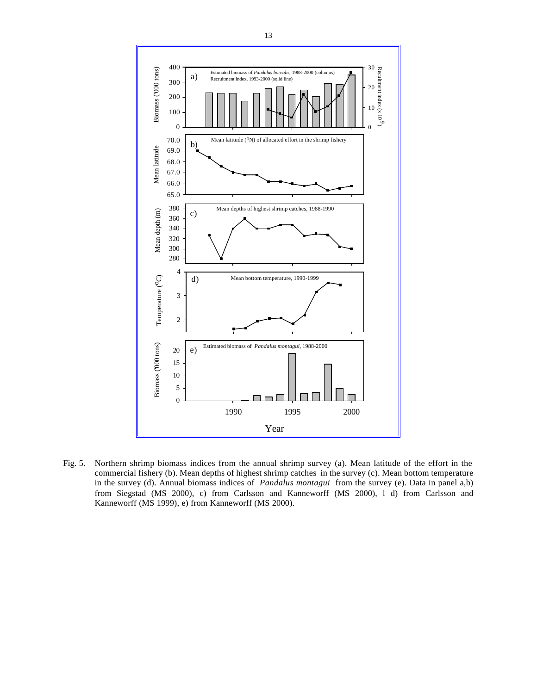

Fig. 5. Northern shrimp biomass indices from the annual shrimp survey (a). Mean latitude of the effort in the commercial fishery (b). Mean depths of highest shrimp catches in the survey (c). Mean bottom temperature in the survey (d). Annual biomass indices of *Pandalus montagui* from the survey (e). Data in panel a,b) from Siegstad (MS 2000), c) from Carlsson and Kanneworff (MS 2000), l d) from Carlsson and Kanneworff (MS 1999), e) from Kanneworff (MS 2000).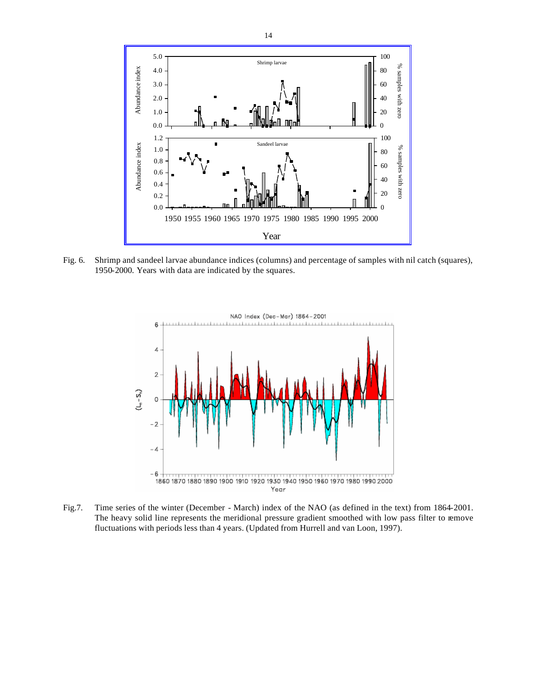

Fig. 6. Shrimp and sandeel larvae abundance indices (columns) and percentage of samples with nil catch (squares), 1950-2000. Years with data are indicated by the squares.



Fig.7. Time series of the winter (December - March) index of the NAO (as defined in the text) from 1864-2001. The heavy solid line represents the meridional pressure gradient smoothed with low pass filter to remove fluctuations with periods less than 4 years. (Updated from Hurrell and van Loon, 1997).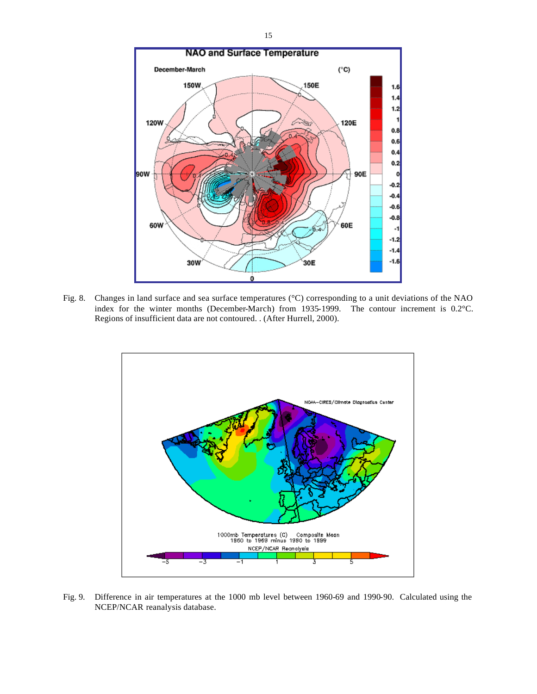

Fig. 8. Changes in land surface and sea surface temperatures (°C) corresponding to a unit deviations of the NAO index for the winter months (December-March) from 1935-1999. The contour increment is 0.2°C. Regions of insufficient data are not contoured. . (After Hurrell, 2000).



Fig. 9. Difference in air temperatures at the 1000 mb level between 1960-69 and 1990-90. Calculated using the NCEP/NCAR reanalysis database.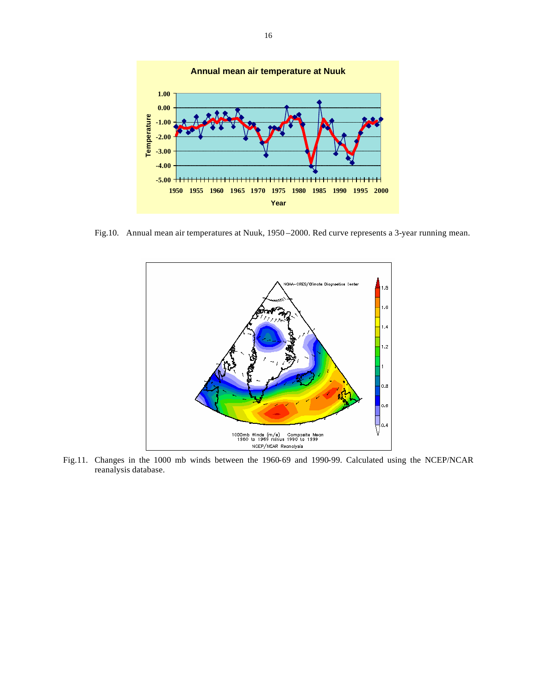

Fig.10. Annual mean air temperatures at Nuuk, 1950 –2000. Red curve represents a 3-year running mean.



Fig.11. Changes in the 1000 mb winds between the 1960-69 and 1990-99. Calculated using the NCEP/NCAR reanalysis database.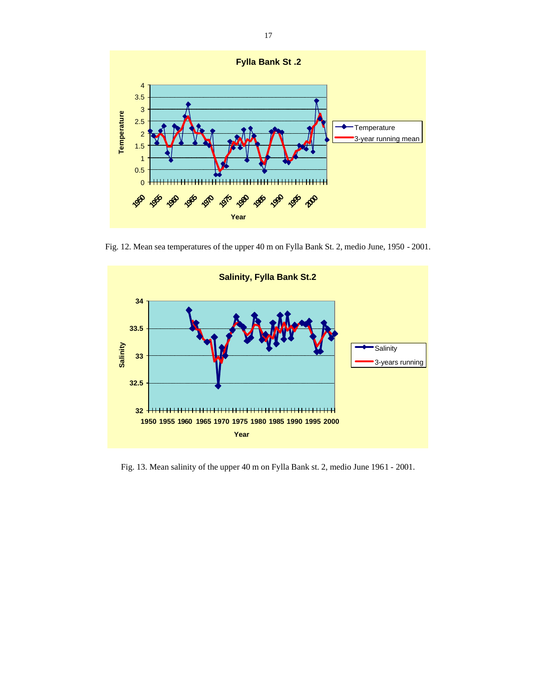

Fig. 12. Mean sea temperatures of the upper 40 m on Fylla Bank St. 2, medio June, 1950 - 2001.



Fig. 13. Mean salinity of the upper 40 m on Fylla Bank st. 2, medio June 1961 - 2001.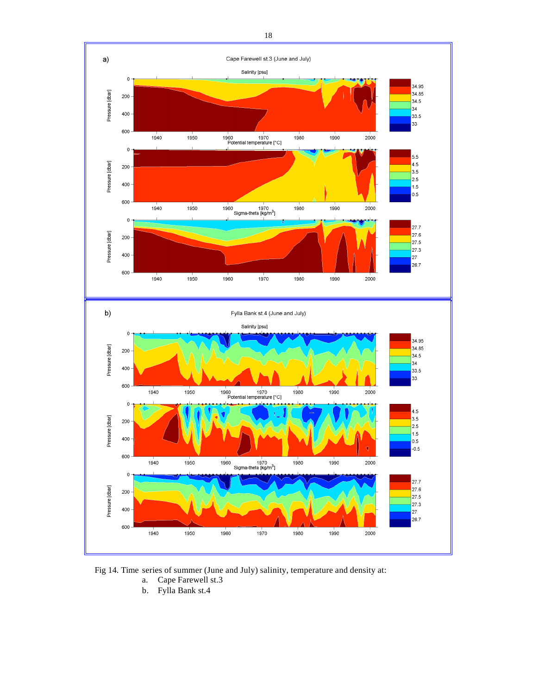



- a. Cape Farewell st.3
- b. Fylla Bank st.4